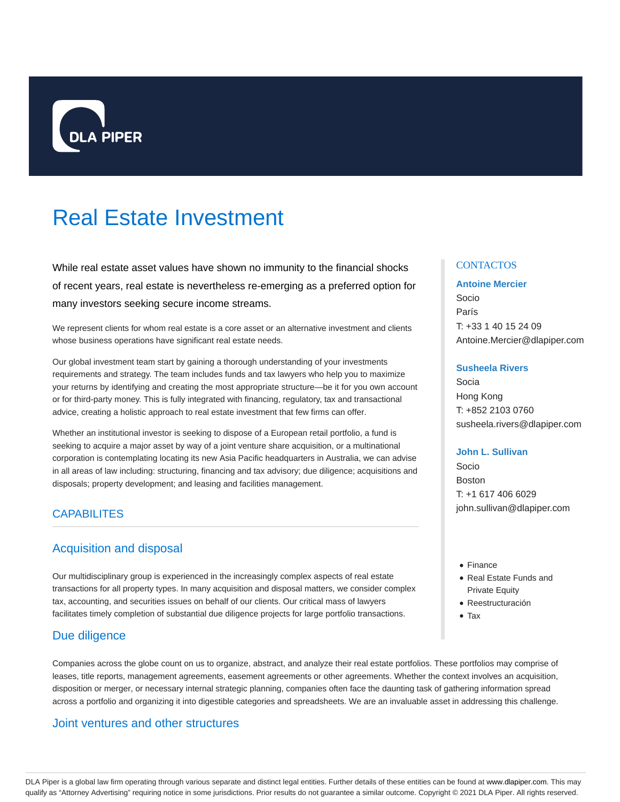

# Real Estate Investment

While real estate asset values have shown no immunity to the financial shocks of recent years, real estate is nevertheless re-emerging as a preferred option for many investors seeking secure income streams.

We represent clients for whom real estate is a core asset or an alternative investment and clients whose business operations have significant real estate needs.

Our global investment team start by gaining a thorough understanding of your investments requirements and strategy. The team includes funds and tax lawyers who help you to maximize your returns by identifying and creating the most appropriate structure—be it for you own account or for third-party money. This is fully integrated with financing, regulatory, tax and transactional advice, creating a holistic approach to real estate investment that few firms can offer.

Whether an institutional investor is seeking to dispose of a European retail portfolio, a fund is seeking to acquire a major asset by way of a joint venture share acquisition, or a multinational corporation is contemplating locating its new Asia Pacific headquarters in Australia, we can advise in all areas of law including: structuring, financing and tax advisory; due diligence; acquisitions and disposals; property development; and leasing and facilities management.

## **CAPABILITES**

# Acquisition and disposal

Our multidisciplinary group is experienced in the increasingly complex aspects of real estate transactions for all property types. In many acquisition and disposal matters, we consider complex tax, accounting, and securities issues on behalf of our clients. Our critical mass of lawyers facilitates timely completion of substantial due diligence projects for large portfolio transactions.

## Due diligence

Companies across the globe count on us to organize, abstract, and analyze their real estate portfolios. These portfolios may comprise of leases, title reports, management agreements, easement agreements or other agreements. Whether the context involves an acquisition, disposition or merger, or necessary internal strategic planning, companies often face the daunting task of gathering information spread across a portfolio and organizing it into digestible categories and spreadsheets. We are an invaluable asset in addressing this challenge.

## Joint ventures and other structures

#### **CONTACTOS**

#### **Antoine Mercier**

Socio París T: +33 1 40 15 24 09 Antoine.Mercier@dlapiper.com

#### **Susheela Rivers**

Socia Hong Kong T: +852 2103 0760 susheela.rivers@dlapiper.com

#### **John L. Sullivan**

Socio Boston T: +1 617 406 6029 john.sullivan@dlapiper.com

- Finance
- Real Estate Funds and Private Equity
- Reestructuración
- Tax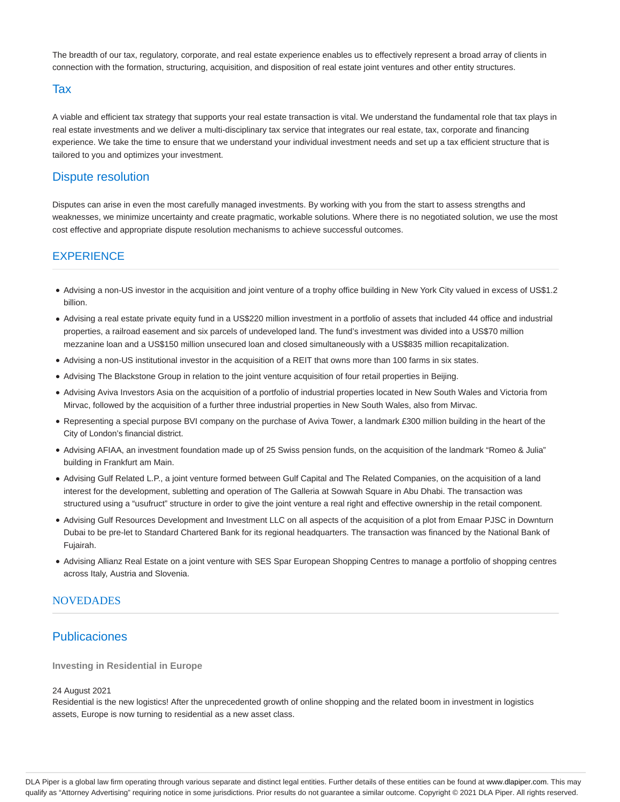The breadth of our tax, regulatory, corporate, and real estate experience enables us to effectively represent a broad array of clients in connection with the formation, structuring, acquisition, and disposition of real estate joint ventures and other entity structures.

#### Tax

A viable and efficient tax strategy that supports your real estate transaction is vital. We understand the fundamental role that tax plays in real estate investments and we deliver a multi-disciplinary tax service that integrates our real estate, tax, corporate and financing experience. We take the time to ensure that we understand your individual investment needs and set up a tax efficient structure that is tailored to you and optimizes your investment.

## Dispute resolution

Disputes can arise in even the most carefully managed investments. By working with you from the start to assess strengths and weaknesses, we minimize uncertainty and create pragmatic, workable solutions. Where there is no negotiated solution, we use the most cost effective and appropriate dispute resolution mechanisms to achieve successful outcomes.

## EXPERIENCE

- Advising a non-US investor in the acquisition and joint venture of a trophy office building in New York City valued in excess of US\$1.2 billion.
- Advising a real estate private equity fund in a US\$220 million investment in a portfolio of assets that included 44 office and industrial properties, a railroad easement and six parcels of undeveloped land. The fund's investment was divided into a US\$70 million mezzanine loan and a US\$150 million unsecured loan and closed simultaneously with a US\$835 million recapitalization.
- Advising a non-US institutional investor in the acquisition of a REIT that owns more than 100 farms in six states.
- Advising The Blackstone Group in relation to the joint venture acquisition of four retail properties in Beijing.
- Advising Aviva Investors Asia on the acquisition of a portfolio of industrial properties located in New South Wales and Victoria from Mirvac, followed by the acquisition of a further three industrial properties in New South Wales, also from Mirvac.
- Representing a special purpose BVI company on the purchase of Aviva Tower, a landmark £300 million building in the heart of the City of London's financial district.
- Advising AFIAA, an investment foundation made up of 25 Swiss pension funds, on the acquisition of the landmark "Romeo & Julia" building in Frankfurt am Main.
- Advising Gulf Related L.P., a joint venture formed between Gulf Capital and The Related Companies, on the acquisition of a land interest for the development, subletting and operation of The Galleria at Sowwah Square in Abu Dhabi. The transaction was structured using a "usufruct" structure in order to give the joint venture a real right and effective ownership in the retail component.
- Advising Gulf Resources Development and Investment LLC on all aspects of the acquisition of a plot from Emaar PJSC in Downturn Dubai to be pre-let to Standard Chartered Bank for its regional headquarters. The transaction was financed by the National Bank of Fujairah.
- Advising Allianz Real Estate on a joint venture with SES Spar European Shopping Centres to manage a portfolio of shopping centres across Italy, Austria and Slovenia.

#### **NOVEDADES**

## Publicaciones

**Investing in Residential in Europe**

#### 24 August 2021

Residential is the new logistics! After the unprecedented growth of online shopping and the related boom in investment in logistics assets, Europe is now turning to residential as a new asset class.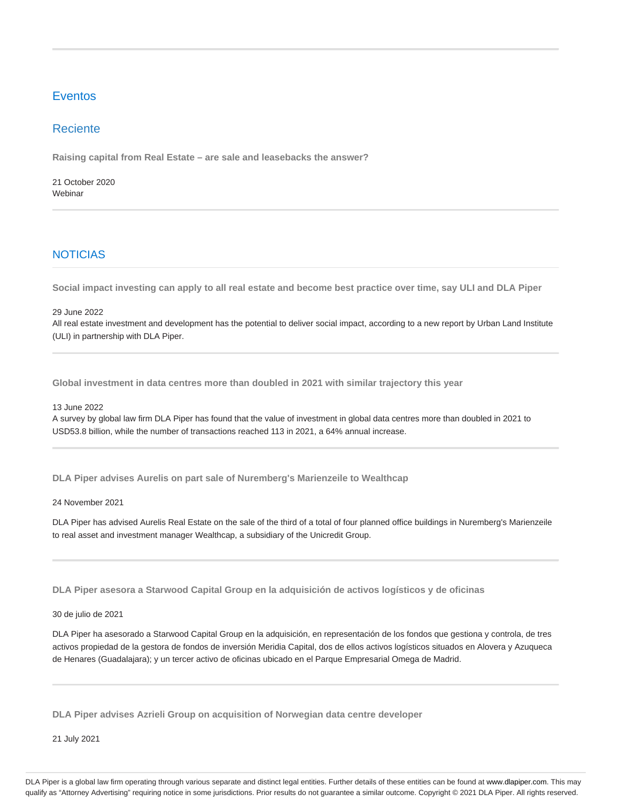# **Eventos**

# Reciente

**Raising capital from Real Estate – are sale and leasebacks the answer?**

21 October 2020 Webinar

# NOTICIAS

**Social impact investing can apply to all real estate and become best practice over time, say ULI and DLA Piper**

#### 29 June 2022

All real estate investment and development has the potential to deliver social impact, according to a new report by Urban Land Institute (ULI) in partnership with DLA Piper.

**Global investment in data centres more than doubled in 2021 with similar trajectory this year**

13 June 2022

A survey by global law firm DLA Piper has found that the value of investment in global data centres more than doubled in 2021 to USD53.8 billion, while the number of transactions reached 113 in 2021, a 64% annual increase.

**DLA Piper advises Aurelis on part sale of Nuremberg's Marienzeile to Wealthcap**

24 November 2021

DLA Piper has advised Aurelis Real Estate on the sale of the third of a total of four planned office buildings in Nuremberg's Marienzeile to real asset and investment manager Wealthcap, a subsidiary of the Unicredit Group.

**DLA Piper asesora a Starwood Capital Group en la adquisición de activos logísticos y de oficinas**

#### 30 de julio de 2021

DLA Piper ha asesorado a Starwood Capital Group en la adquisición, en representación de los fondos que gestiona y controla, de tres activos propiedad de la gestora de fondos de inversión Meridia Capital, dos de ellos activos logísticos situados en Alovera y Azuqueca de Henares (Guadalajara); y un tercer activo de oficinas ubicado en el Parque Empresarial Omega de Madrid.

**DLA Piper advises Azrieli Group on acquisition of Norwegian data centre developer**

21 July 2021

DLA Piper is a global law firm operating through various separate and distinct legal entities. Further details of these entities can be found at www.dlapiper.com. This may qualify as "Attorney Advertising" requiring notice in some jurisdictions. Prior results do not guarantee a similar outcome. Copyright @ 2021 DLA Piper. All rights reserved.